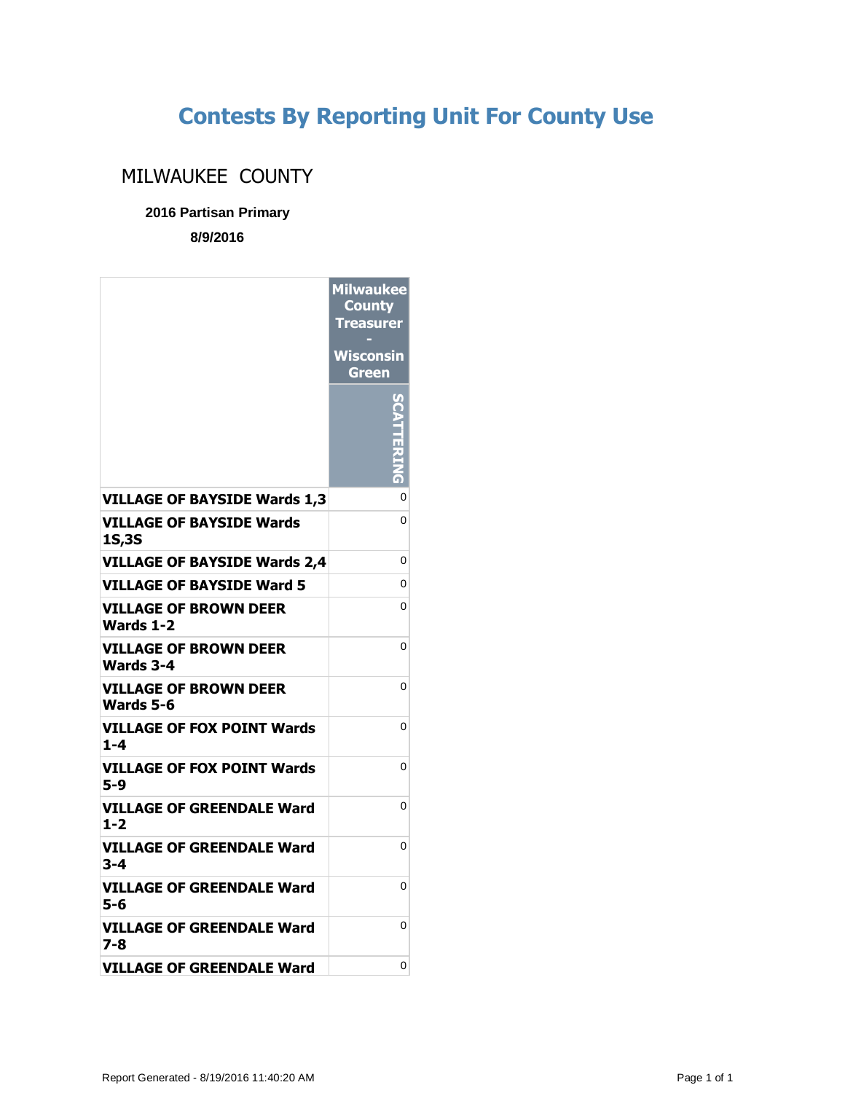## **Contests By Reporting Unit For County Use**

## MILWAUKEE COUNTY

## **2016 Partisan Primary**

**8/9/2016**

|                                           | <b>Milwaukee</b><br><b>County</b><br><b>Treasurer</b> |
|-------------------------------------------|-------------------------------------------------------|
|                                           | Wisconsin<br>Green                                    |
|                                           |                                                       |
| <b>VILLAGE OF BAYSIDE Wards 1,3</b>       | 0                                                     |
| VILLAGE OF BAYSIDE Wards<br><b>1S,3S</b>  | 0                                                     |
| <b>VILLAGE OF BAYSIDE Wards 2,4</b>       | 0                                                     |
| <b>VILLAGE OF BAYSIDE Ward 5</b>          | 0                                                     |
| VILLAGE OF BROWN DEER<br>Wards 1-2        | 0                                                     |
| VILLAGE OF BROWN DEER<br>Wards 3-4        | 0                                                     |
| <b>VILLAGE OF BROWN DEER</b><br>Wards 5-6 | 0                                                     |
| VILLAGE OF FOX POINT Wards<br>$1 - 4$     | 0                                                     |
| VILLAGE OF FOX POINT Wards<br>5-9         | 0                                                     |
| VILLAGE OF GREENDALE Ward<br>$1 - 2$      | 0                                                     |
| VILLAGE OF GREENDALE Ward<br>3-4          | 0                                                     |
| VILLAGE OF GREENDALE Ward<br>5-6          | 0                                                     |
| VILLAGE OF GREENDALE Ward<br>7-8          | 0                                                     |
| <b>VILLAGE OF GREENDALE Ward</b>          | 0                                                     |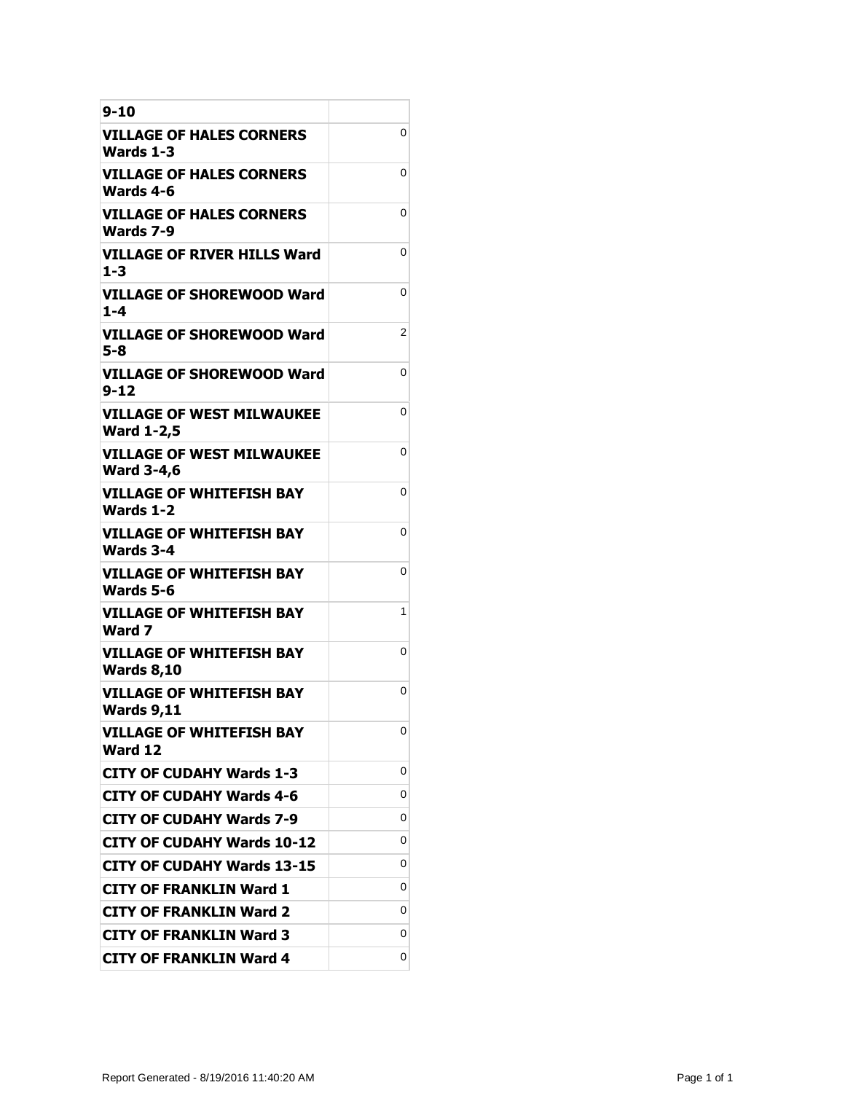| $9 - 10$                                              |   |
|-------------------------------------------------------|---|
| VILLAGE OF HALES CORNERS<br>Wards 1-3                 | 0 |
| <b>VILLAGE OF HALES CORNERS</b><br>Wards 4-6          | 0 |
| VILLAGE OF HALES CORNERS<br>Wards 7-9                 | 0 |
| VILLAGE OF RIVER HILLS Ward<br>$1 - 3$                | 0 |
| <b>VILLAGE OF SHOREWOOD Ward</b><br>1-4               | 0 |
| VILLAGE OF SHOREWOOD Ward<br>5-8                      | 2 |
| VILLAGE OF SHOREWOOD Ward<br>9-12                     | 0 |
| <b>VILLAGE OF WEST MILWAUKEE</b><br><b>Ward 1-2,5</b> | 0 |
| <b>VILLAGE OF WEST MILWAUKEE</b><br><b>Ward 3-4,6</b> | 0 |
| <b>VILLAGE OF WHITEFISH BAY</b><br>Wards 1-2          | 0 |
| <b>VILLAGE OF WHITEFISH BAY</b><br><b>Wards 3-4</b>   | 0 |
| <b>VILLAGE OF WHITEFISH BAY</b><br>Wards 5-6          | 0 |
| <b>VILLAGE OF WHITEFISH BAY</b><br>Ward 7             | 1 |
| <b>VILLAGE OF WHITEFISH BAY</b><br><b>Wards 8,10</b>  | 0 |
| <b>VILLAGE OF WHITEFISH BAY</b><br><b>Wards 9,11</b>  | 0 |
| <b>VILLAGE OF WHITEFISH BAY</b><br>Ward 12            | 0 |
| <b>CITY OF CUDAHY Wards 1-3</b>                       | 0 |
| CITY OF CUDAHY Wards 4-6                              | 0 |
| <b>CITY OF CUDAHY Wards 7-9</b>                       | 0 |
| <b>CITY OF CUDAHY Wards 10-12</b>                     | 0 |
| <b>CITY OF CUDAHY Wards 13-15</b>                     | 0 |
| <b>CITY OF FRANKLIN Ward 1</b>                        | 0 |
| <b>CITY OF FRANKLIN Ward 2</b>                        | 0 |
| <b>CITY OF FRANKLIN Ward 3</b>                        | 0 |
| <b>CITY OF FRANKLIN Ward 4</b>                        | 0 |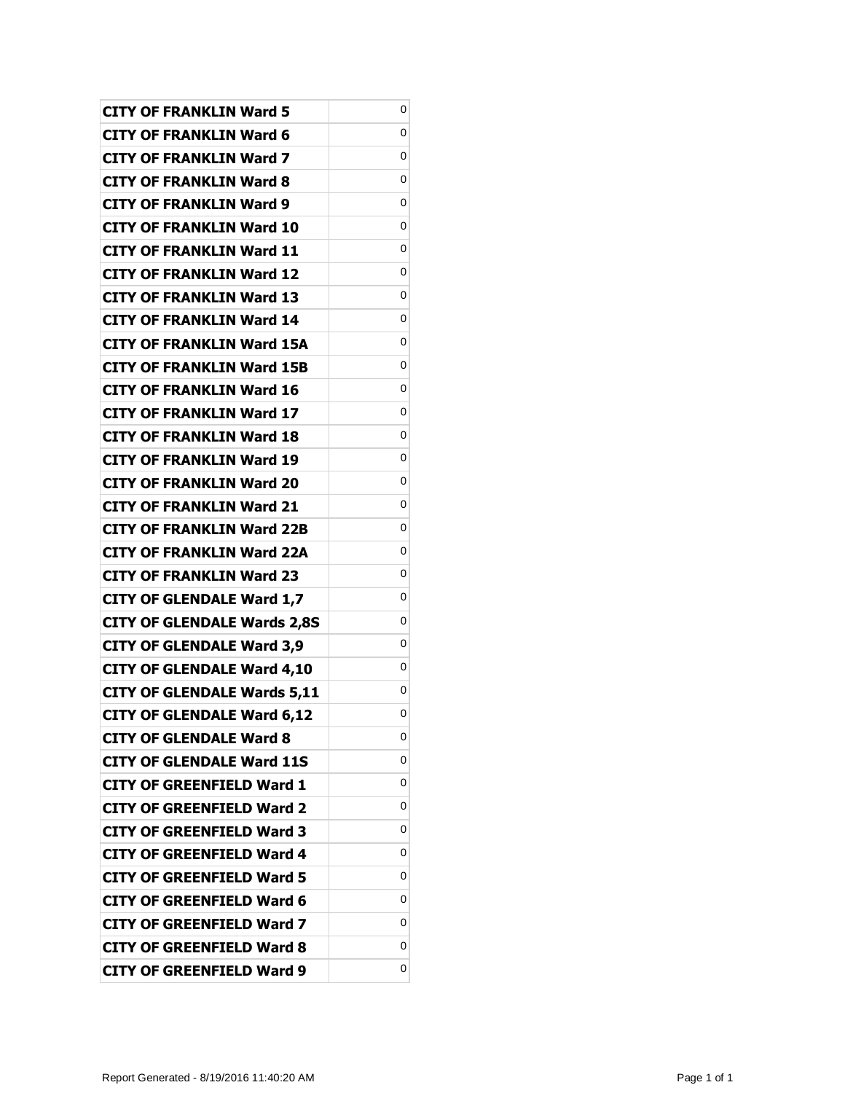| <b>CITY OF FRANKLIN Ward 5</b>     | 0 |
|------------------------------------|---|
| <b>CITY OF FRANKLIN Ward 6</b>     | 0 |
| <b>CITY OF FRANKLIN Ward 7</b>     | 0 |
| <b>CITY OF FRANKLIN Ward 8</b>     | 0 |
| <b>CITY OF FRANKLIN Ward 9</b>     | 0 |
| <b>CITY OF FRANKLIN Ward 10</b>    | 0 |
| <b>CITY OF FRANKLIN Ward 11</b>    | 0 |
| <b>CITY OF FRANKLIN Ward 12</b>    | 0 |
| <b>CITY OF FRANKLIN Ward 13</b>    | 0 |
| <b>CITY OF FRANKLIN Ward 14</b>    | 0 |
| <b>CITY OF FRANKLIN Ward 15A</b>   | 0 |
| <b>CITY OF FRANKLIN Ward 15B</b>   | 0 |
| <b>CITY OF FRANKLIN Ward 16</b>    | 0 |
| <b>CITY OF FRANKLIN Ward 17</b>    | 0 |
| <b>CITY OF FRANKLIN Ward 18</b>    | 0 |
| <b>CITY OF FRANKLIN Ward 19</b>    | 0 |
| <b>CITY OF FRANKLIN Ward 20</b>    | 0 |
| <b>CITY OF FRANKLIN Ward 21</b>    | 0 |
| <b>CITY OF FRANKLIN Ward 22B</b>   | 0 |
| <b>CITY OF FRANKLIN Ward 22A</b>   | 0 |
| <b>CITY OF FRANKLIN Ward 23</b>    | 0 |
| <b>CITY OF GLENDALE Ward 1,7</b>   | 0 |
| <b>CITY OF GLENDALE Wards 2,8S</b> | 0 |
| <b>CITY OF GLENDALE Ward 3,9</b>   | 0 |
| <b>CITY OF GLENDALE Ward 4,10</b>  | 0 |
| <b>CITY OF GLENDALE Wards 5,11</b> | 0 |
| <b>CITY OF GLENDALE Ward 6,12</b>  | 0 |
| <b>CITY OF GLENDALE Ward 8</b>     | 0 |
| <b>CITY OF GLENDALE Ward 11S</b>   | 0 |
| <b>CITY OF GREENFIELD Ward 1</b>   | 0 |
| <b>CITY OF GREENFIELD Ward 2</b>   | 0 |
| <b>CITY OF GREENFIELD Ward 3</b>   | 0 |
| <b>CITY OF GREENFIELD Ward 4</b>   | 0 |
| <b>CITY OF GREENFIELD Ward 5</b>   | 0 |
| <b>CITY OF GREENFIELD Ward 6</b>   | 0 |
| <b>CITY OF GREENFIELD Ward 7</b>   | 0 |
| <b>CITY OF GREENFIELD Ward 8</b>   | 0 |
| <b>CITY OF GREENFIELD Ward 9</b>   | 0 |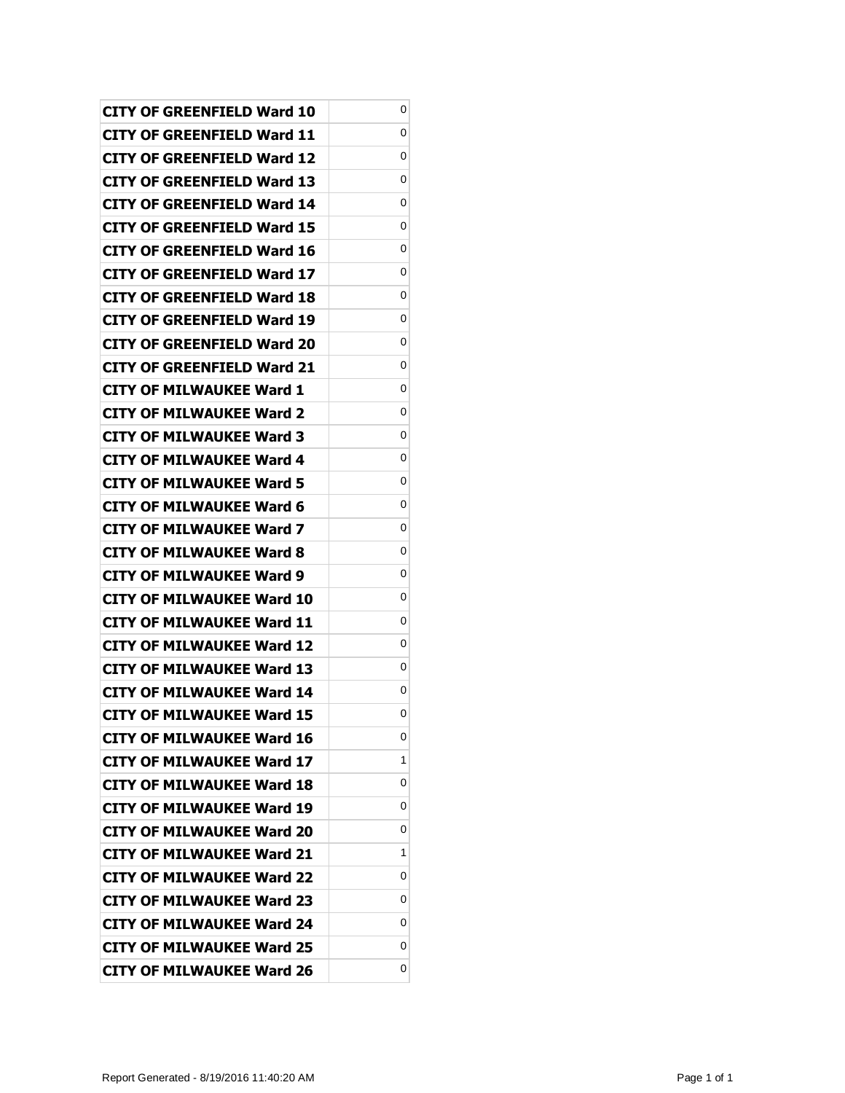| CITY OF GREENFIELD Ward 10        | 0 |
|-----------------------------------|---|
| CITY OF GREENFIELD Ward 11        | 0 |
| CITY OF GREENFIELD Ward 12        | 0 |
| CITY OF GREENFIELD Ward 13        | 0 |
| CITY OF GREENFIELD Ward 14        | 0 |
| CITY OF GREENFIELD Ward 15        | 0 |
| CITY OF GREENFIELD Ward 16        | 0 |
| CITY OF GREENFIELD Ward 17        | 0 |
| CITY OF GREENFIELD Ward 18        | 0 |
| CITY OF GREENFIELD Ward 19        | 0 |
| <b>CITY OF GREENFIELD Ward 20</b> | 0 |
| CITY OF GREENFIELD Ward 21        | 0 |
| CITY OF MILWAUKEE Ward 1          | 0 |
| CITY OF MILWAUKEE Ward 2          | 0 |
| <b>CITY OF MILWAUKEE Ward 3</b>   | 0 |
| <b>CITY OF MILWAUKEE Ward 4</b>   | 0 |
| CITY OF MILWAUKEE Ward 5          | 0 |
| CITY OF MILWAUKEE Ward 6          | 0 |
| CITY OF MILWAUKEE Ward 7          | 0 |
| <b>CITY OF MILWAUKEE Ward 8</b>   | 0 |
| <b>CITY OF MILWAUKEE Ward 9</b>   | 0 |
| CITY OF MILWAUKEE Ward 10         | 0 |
| CITY OF MILWAUKEE Ward 11         | 0 |
| <b>CITY OF MILWAUKEE Ward 12</b>  | 0 |
| <b>CITY OF MILWAUKEE Ward 13</b>  | 0 |
| <b>CITY OF MILWAUKEE Ward 14</b>  | 0 |
| <b>CITY OF MILWAUKEE Ward 15</b>  | 0 |
| <b>CITY OF MILWAUKEE Ward 16</b>  | 0 |
| <b>CITY OF MILWAUKEE Ward 17</b>  | 1 |
| <b>CITY OF MILWAUKEE Ward 18</b>  | 0 |
| <b>CITY OF MILWAUKEE Ward 19</b>  | 0 |
| <b>CITY OF MILWAUKEE Ward 20</b>  | 0 |
| <b>CITY OF MILWAUKEE Ward 21</b>  | 1 |
| <b>CITY OF MILWAUKEE Ward 22</b>  | 0 |
| <b>CITY OF MILWAUKEE Ward 23</b>  | 0 |
| <b>CITY OF MILWAUKEE Ward 24</b>  | 0 |
| <b>CITY OF MILWAUKEE Ward 25</b>  | 0 |
| <b>CITY OF MILWAUKEE Ward 26</b>  | 0 |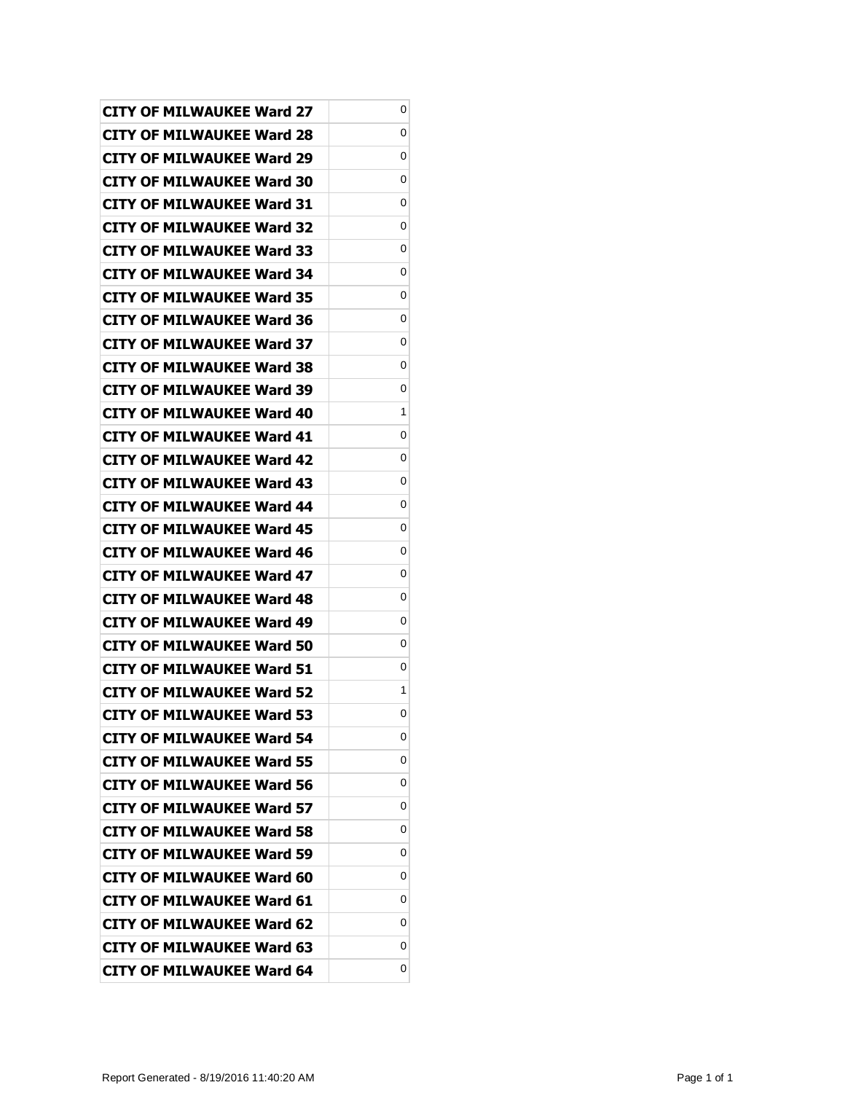| CITY OF MILWAUKEE Ward 27        | 0 |
|----------------------------------|---|
| CITY OF MILWAUKEE Ward 28        | 0 |
| CITY OF MILWAUKEE Ward 29        | 0 |
| <b>CITY OF MILWAUKEE Ward 30</b> | 0 |
| <b>CITY OF MILWAUKEE Ward 31</b> | 0 |
| CITY OF MILWAUKEE Ward 32        | 0 |
| <b>CITY OF MILWAUKEE Ward 33</b> | 0 |
| <b>CITY OF MILWAUKEE Ward 34</b> | 0 |
| <b>CITY OF MILWAUKEE Ward 35</b> | 0 |
| CITY OF MILWAUKEE Ward 36        | 0 |
| CITY OF MILWAUKEE Ward 37        | 0 |
| CITY OF MILWAUKEE Ward 38        | 0 |
| <b>CITY OF MILWAUKEE Ward 39</b> | 0 |
| CITY OF MILWAUKEE Ward 40        | 1 |
| CITY OF MILWAUKEE Ward 41        | 0 |
| CITY OF MILWAUKEE Ward 42        | 0 |
| CITY OF MILWAUKEE Ward 43        | 0 |
| <b>CITY OF MILWAUKEE Ward 44</b> | 0 |
| <b>CITY OF MILWAUKEE Ward 45</b> | 0 |
| CITY OF MILWAUKEE Ward 46        | 0 |
| <b>CITY OF MILWAUKEE Ward 47</b> | 0 |
| CITY OF MILWAUKEE Ward 48        | 0 |
| CITY OF MILWAUKEE Ward 49        | 0 |
| CITY OF MILWAUKEE Ward 50        | 0 |
| CITY OF MILWAUKEE Ward 51        | 0 |
| <b>CITY OF MILWAUKEE Ward 52</b> | 1 |
| <b>CITY OF MILWAUKEE Ward 53</b> | 0 |
| <b>CITY OF MILWAUKEE Ward 54</b> | 0 |
| <b>CITY OF MILWAUKEE Ward 55</b> | 0 |
| <b>CITY OF MILWAUKEE Ward 56</b> | 0 |
| <b>CITY OF MILWAUKEE Ward 57</b> | 0 |
| <b>CITY OF MILWAUKEE Ward 58</b> | 0 |
| <b>CITY OF MILWAUKEE Ward 59</b> | 0 |
| CITY OF MILWAUKEE Ward 60        | 0 |
| <b>CITY OF MILWAUKEE Ward 61</b> | 0 |
| <b>CITY OF MILWAUKEE Ward 62</b> | 0 |
| <b>CITY OF MILWAUKEE Ward 63</b> | 0 |
| <b>CITY OF MILWAUKEE Ward 64</b> | 0 |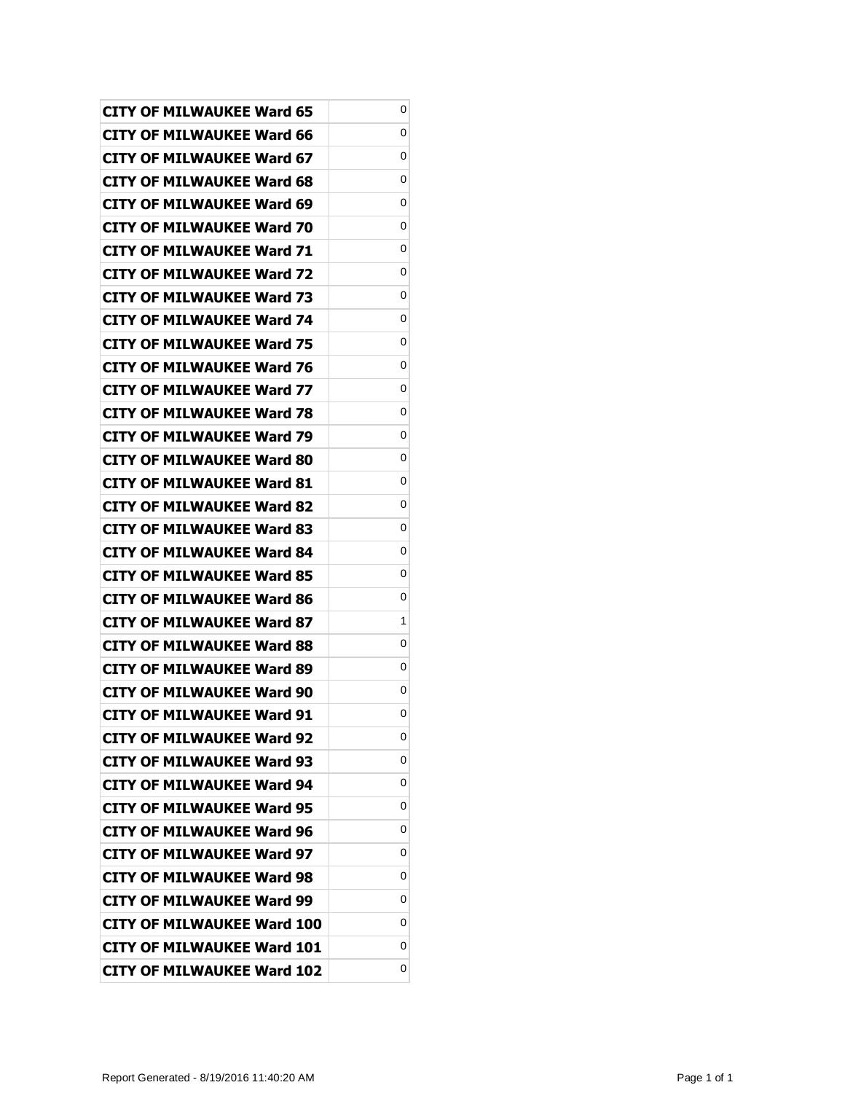| CITY OF MILWAUKEE Ward 65         | 0 |
|-----------------------------------|---|
| CITY OF MILWAUKEE Ward 66         | 0 |
| CITY OF MILWAUKEE Ward 67         | 0 |
| <b>CITY OF MILWAUKEE Ward 68</b>  | 0 |
| <b>CITY OF MILWAUKEE Ward 69</b>  | 0 |
| CITY OF MILWAUKEE Ward 70         | 0 |
| CITY OF MILWAUKEE Ward 71         | 0 |
| <b>CITY OF MILWAUKEE Ward 72</b>  | 0 |
| CITY OF MILWAUKEE Ward 73         | 0 |
| CITY OF MILWAUKEE Ward 74         | 0 |
| CITY OF MILWAUKEE Ward 75         | 0 |
| CITY OF MILWAUKEE Ward 76         | 0 |
| <b>CITY OF MILWAUKEE Ward 77</b>  | 0 |
| <b>CITY OF MILWAUKEE Ward 78</b>  | 0 |
| CITY OF MILWAUKEE Ward 79         | 0 |
| CITY OF MILWAUKEE Ward 80         | 0 |
| CITY OF MILWAUKEE Ward 81         | 0 |
| <b>CITY OF MILWAUKEE Ward 82</b>  | 0 |
| <b>CITY OF MILWAUKEE Ward 83</b>  | 0 |
| CITY OF MILWAUKEE Ward 84         | 0 |
| <b>CITY OF MILWAUKEE Ward 85</b>  | 0 |
| CITY OF MILWAUKEE Ward 86         | 0 |
| CITY OF MILWAUKEE Ward 87         | 1 |
| CITY OF MILWAUKEE Ward 88         | 0 |
| CITY OF MILWAUKEE Ward 89         | 0 |
| <b>CITY OF MILWAUKEE Ward 90</b>  | 0 |
| <b>CITY OF MILWAUKEE Ward 91</b>  | 0 |
| <b>CITY OF MILWAUKEE Ward 92</b>  | 0 |
| <b>CITY OF MILWAUKEE Ward 93</b>  | 0 |
| <b>CITY OF MILWAUKEE Ward 94</b>  | 0 |
| <b>CITY OF MILWAUKEE Ward 95</b>  | 0 |
| <b>CITY OF MILWAUKEE Ward 96</b>  | 0 |
| <b>CITY OF MILWAUKEE Ward 97</b>  | 0 |
| <b>CITY OF MILWAUKEE Ward 98</b>  | 0 |
| <b>CITY OF MILWAUKEE Ward 99</b>  | 0 |
| <b>CITY OF MILWAUKEE Ward 100</b> | 0 |
| <b>CITY OF MILWAUKEE Ward 101</b> | 0 |
| <b>CITY OF MILWAUKEE Ward 102</b> | 0 |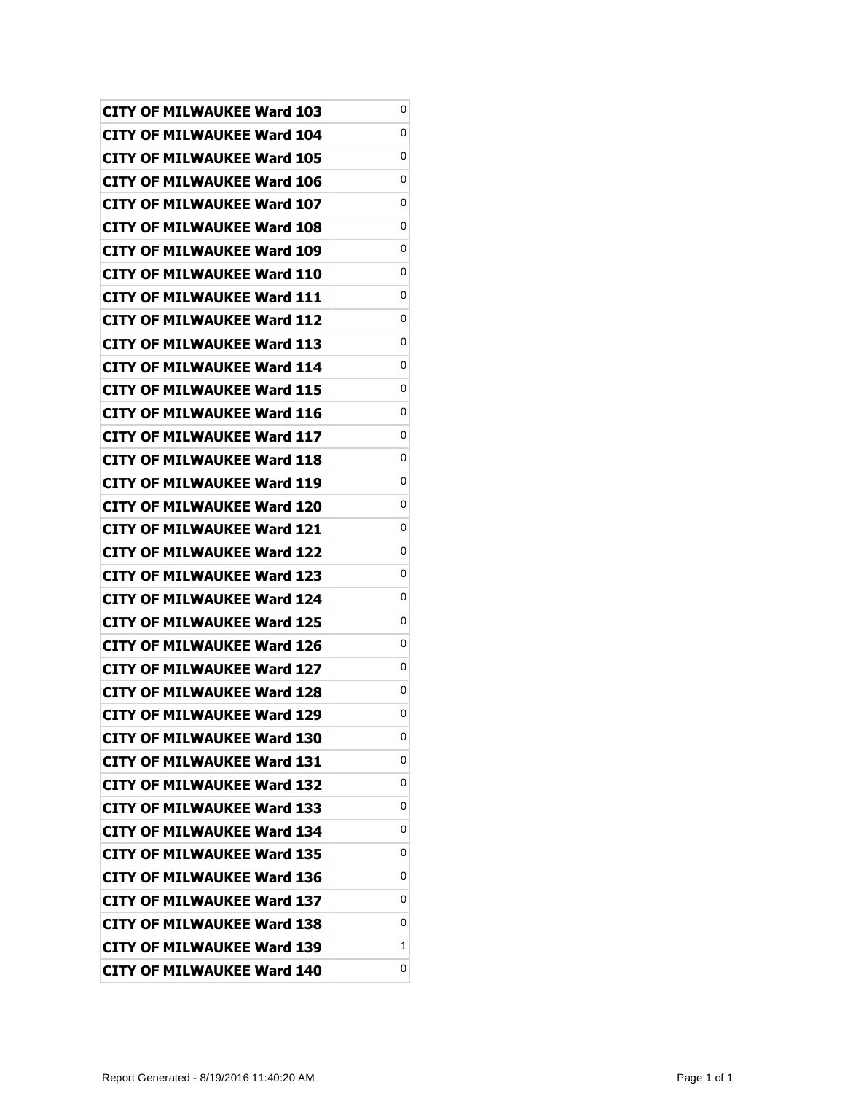| <b>CITY OF MILWAUKEE Ward 103</b> | 0 |
|-----------------------------------|---|
| <b>CITY OF MILWAUKEE Ward 104</b> | 0 |
| CITY OF MILWAUKEE Ward 105        | 0 |
| <b>CITY OF MILWAUKEE Ward 106</b> | 0 |
| <b>CITY OF MILWAUKEE Ward 107</b> | 0 |
| <b>CITY OF MILWAUKEE Ward 108</b> | 0 |
| CITY OF MILWAUKEE Ward 109        | 0 |
| CITY OF MILWAUKEE Ward 110        | 0 |
| <b>CITY OF MILWAUKEE Ward 111</b> | 0 |
| <b>CITY OF MILWAUKEE Ward 112</b> | 0 |
| CITY OF MILWAUKEE Ward 113        | 0 |
| CITY OF MILWAUKEE Ward 114        | 0 |
| <b>CITY OF MILWAUKEE Ward 115</b> | 0 |
| <b>CITY OF MILWAUKEE Ward 116</b> | 0 |
| <b>CITY OF MILWAUKEE Ward 117</b> | 0 |
| <b>CITY OF MILWAUKEE Ward 118</b> | 0 |
| CITY OF MILWAUKEE Ward 119        | 0 |
| CITY OF MILWAUKEE Ward 120        | 0 |
| <b>CITY OF MILWAUKEE Ward 121</b> | 0 |
| <b>CITY OF MILWAUKEE Ward 122</b> | 0 |
| <b>CITY OF MILWAUKEE Ward 123</b> | 0 |
| <b>CITY OF MILWAUKEE Ward 124</b> | 0 |
| <b>CITY OF MILWAUKEE Ward 125</b> | 0 |
| CITY OF MILWAUKEE Ward 126        | 0 |
| <b>CITY OF MILWAUKEE Ward 127</b> | 0 |
| <b>CITY OF MILWAUKEE Ward 128</b> | 0 |
| <b>CITY OF MILWAUKEE Ward 129</b> | 0 |
| <b>CITY OF MILWAUKEE Ward 130</b> | 0 |
| <b>CITY OF MILWAUKEE Ward 131</b> | 0 |
| <b>CITY OF MILWAUKEE Ward 132</b> | 0 |
| CITY OF MILWAUKEE Ward 133        | 0 |
| <b>CITY OF MILWAUKEE Ward 134</b> | 0 |
| <b>CITY OF MILWAUKEE Ward 135</b> | 0 |
| CITY OF MILWAUKEE Ward 136        | 0 |
| CITY OF MILWAUKEE Ward 137        | 0 |
| <b>CITY OF MILWAUKEE Ward 138</b> | 0 |
| <b>CITY OF MILWAUKEE Ward 139</b> | 1 |
| <b>CITY OF MILWAUKEE Ward 140</b> | 0 |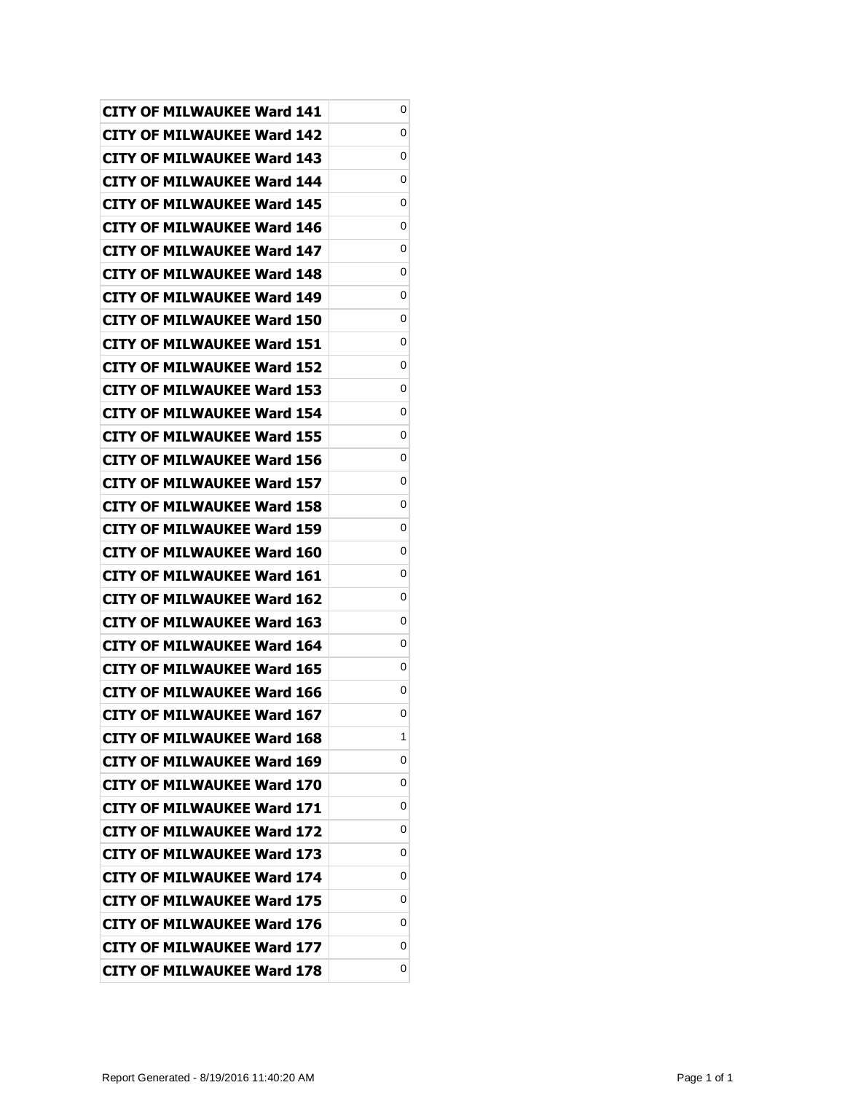| <b>CITY OF MILWAUKEE Ward 141</b> | 0 |
|-----------------------------------|---|
| CITY OF MILWAUKEE Ward 142        | 0 |
| <b>CITY OF MILWAUKEE Ward 143</b> | 0 |
| <b>CITY OF MILWAUKEE Ward 144</b> | 0 |
| <b>CITY OF MILWAUKEE Ward 145</b> | 0 |
| CITY OF MILWAUKEE Ward 146        | 0 |
| CITY OF MILWAUKEE Ward 147        | 0 |
| <b>CITY OF MILWAUKEE Ward 148</b> | 0 |
| <b>CITY OF MILWAUKEE Ward 149</b> | 0 |
| CITY OF MILWAUKEE Ward 150        | 0 |
| CITY OF MILWAUKEE Ward 151        | 0 |
| CITY OF MILWAUKEE Ward 152        | 0 |
| <b>CITY OF MILWAUKEE Ward 153</b> | 0 |
| <b>CITY OF MILWAUKEE Ward 154</b> | 0 |
| <b>CITY OF MILWAUKEE Ward 155</b> | 0 |
| CITY OF MILWAUKEE Ward 156        | 0 |
| CITY OF MILWAUKEE Ward 157        | 0 |
| <b>CITY OF MILWAUKEE Ward 158</b> | 0 |
| CITY OF MILWAUKEE Ward 159        | 0 |
| CITY OF MILWAUKEE Ward 160        | 0 |
| <b>CITY OF MILWAUKEE Ward 161</b> | 0 |
| CITY OF MILWAUKEE Ward 162        | 0 |
| CITY OF MILWAUKEE Ward 163        | 0 |
| CITY OF MILWAUKEE Ward 164        | 0 |
| CITY OF MILWAUKEE Ward 165        | 0 |
| <b>CITY OF MILWAUKEE Ward 166</b> | 0 |
| <b>CITY OF MILWAUKEE Ward 167</b> | 0 |
| <b>CITY OF MILWAUKEE Ward 168</b> | 1 |
| CITY OF MILWAUKEE Ward 169        | 0 |
| <b>CITY OF MILWAUKEE Ward 170</b> | 0 |
| <b>CITY OF MILWAUKEE Ward 171</b> | 0 |
| <b>CITY OF MILWAUKEE Ward 172</b> | 0 |
| <b>CITY OF MILWAUKEE Ward 173</b> | 0 |
| <b>CITY OF MILWAUKEE Ward 174</b> | 0 |
| <b>CITY OF MILWAUKEE Ward 175</b> | 0 |
| <b>CITY OF MILWAUKEE Ward 176</b> | 0 |
| <b>CITY OF MILWAUKEE Ward 177</b> | 0 |
| <b>CITY OF MILWAUKEE Ward 178</b> | 0 |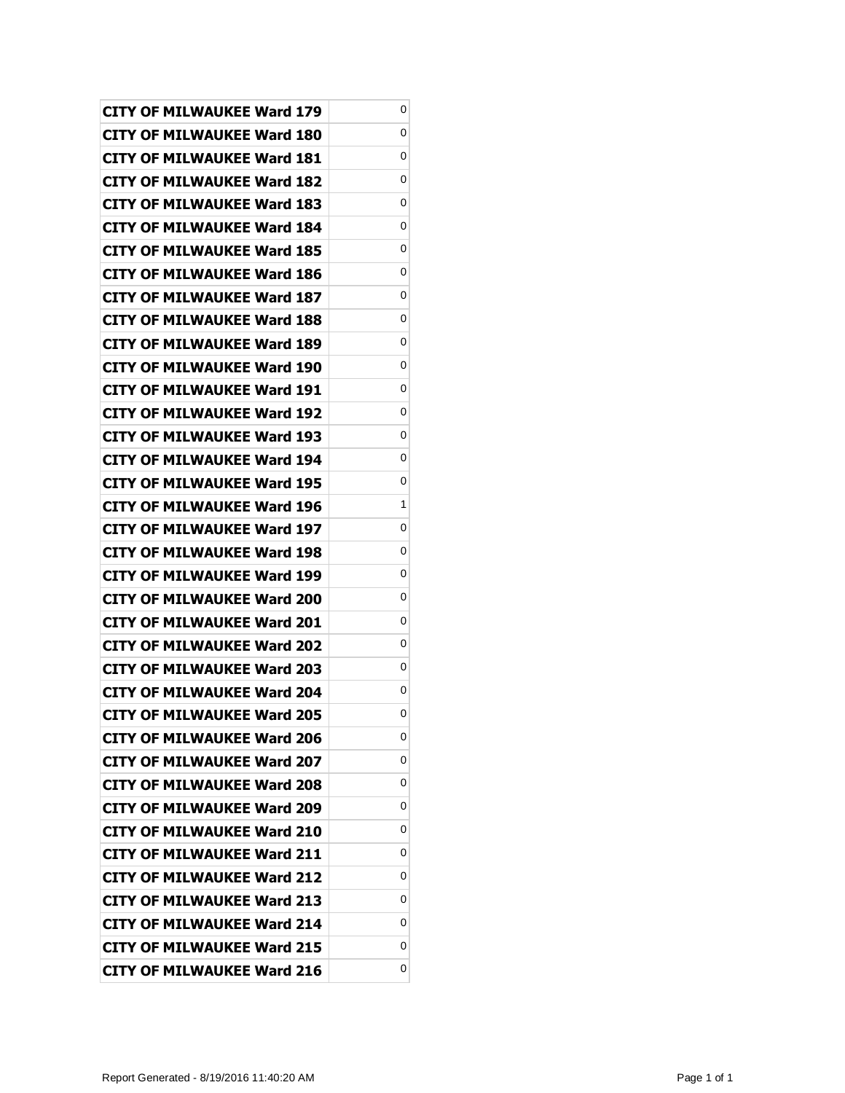| <b>CITY OF MILWAUKEE Ward 179</b> | 0 |
|-----------------------------------|---|
| CITY OF MILWAUKEE Ward 180        | 0 |
| <b>CITY OF MILWAUKEE Ward 181</b> | 0 |
| <b>CITY OF MILWAUKEE Ward 182</b> | 0 |
| <b>CITY OF MILWAUKEE Ward 183</b> | 0 |
| CITY OF MILWAUKEE Ward 184        | 0 |
| CITY OF MILWAUKEE Ward 185        | 0 |
| <b>CITY OF MILWAUKEE Ward 186</b> | 0 |
| <b>CITY OF MILWAUKEE Ward 187</b> | 0 |
| CITY OF MILWAUKEE Ward 188        | 0 |
| <b>CITY OF MILWAUKEE Ward 189</b> | 0 |
| CITY OF MILWAUKEE Ward 190        | 0 |
| <b>CITY OF MILWAUKEE Ward 191</b> | 0 |
| <b>CITY OF MILWAUKEE Ward 192</b> | 0 |
| <b>CITY OF MILWAUKEE Ward 193</b> | 0 |
| CITY OF MILWAUKEE Ward 194        | 0 |
| CITY OF MILWAUKEE Ward 195        | 0 |
| <b>CITY OF MILWAUKEE Ward 196</b> | 1 |
| <b>CITY OF MILWAUKEE Ward 197</b> | 0 |
| CITY OF MILWAUKEE Ward 198        | 0 |
| <b>CITY OF MILWAUKEE Ward 199</b> | 0 |
| CITY OF MILWAUKEE Ward 200        | 0 |
| CITY OF MILWAUKEE Ward 201        | 0 |
| CITY OF MILWAUKEE Ward 202        | 0 |
| CITY OF MILWAUKEE Ward 203        | 0 |
| <b>CITY OF MILWAUKEE Ward 204</b> | 0 |
| <b>CITY OF MILWAUKEE Ward 205</b> | 0 |
| <b>CITY OF MILWAUKEE Ward 206</b> | 0 |
| <b>CITY OF MILWAUKEE Ward 207</b> | 0 |
| <b>CITY OF MILWAUKEE Ward 208</b> | 0 |
| <b>CITY OF MILWAUKEE Ward 209</b> | 0 |
| <b>CITY OF MILWAUKEE Ward 210</b> | 0 |
| <b>CITY OF MILWAUKEE Ward 211</b> | 0 |
| <b>CITY OF MILWAUKEE Ward 212</b> | 0 |
| <b>CITY OF MILWAUKEE Ward 213</b> | 0 |
| <b>CITY OF MILWAUKEE Ward 214</b> | 0 |
| <b>CITY OF MILWAUKEE Ward 215</b> | 0 |
| <b>CITY OF MILWAUKEE Ward 216</b> | 0 |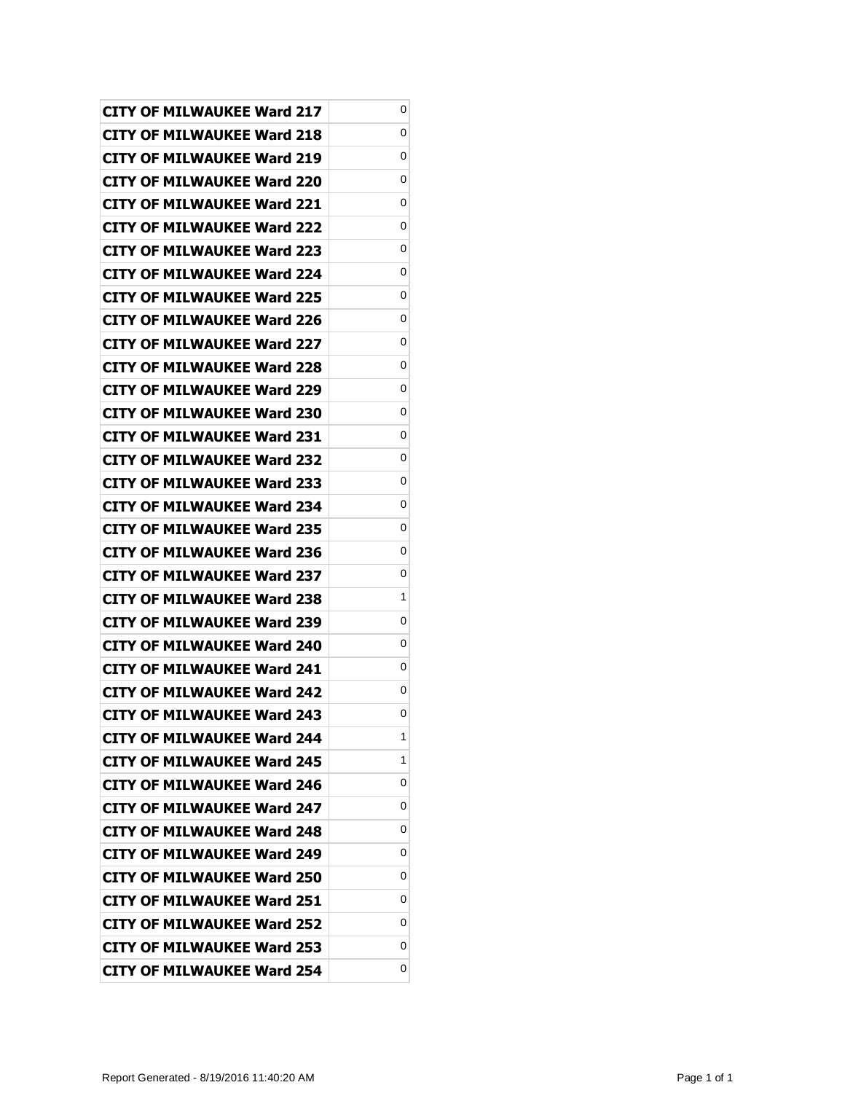| <b>CITY OF MILWAUKEE Ward 217</b> | 0 |
|-----------------------------------|---|
| CITY OF MILWAUKEE Ward 218        | 0 |
| <b>CITY OF MILWAUKEE Ward 219</b> | 0 |
| <b>CITY OF MILWAUKEE Ward 220</b> | 0 |
| <b>CITY OF MILWAUKEE Ward 221</b> | 0 |
| CITY OF MILWAUKEE Ward 222        | 0 |
| CITY OF MILWAUKEE Ward 223        | 0 |
| <b>CITY OF MILWAUKEE Ward 224</b> | 0 |
| <b>CITY OF MILWAUKEE Ward 225</b> | 0 |
| CITY OF MILWAUKEE Ward 226        | 0 |
| <b>CITY OF MILWAUKEE Ward 227</b> | 0 |
| CITY OF MILWAUKEE Ward 228        | 0 |
| <b>CITY OF MILWAUKEE Ward 229</b> | 0 |
| <b>CITY OF MILWAUKEE Ward 230</b> | 0 |
| CITY OF MILWAUKEE Ward 231        | 0 |
| CITY OF MILWAUKEE Ward 232        | 0 |
| CITY OF MILWAUKEE Ward 233        | 0 |
| <b>CITY OF MILWAUKEE Ward 234</b> | 0 |
| <b>CITY OF MILWAUKEE Ward 235</b> | 0 |
| CITY OF MILWAUKEE Ward 236        | 0 |
| <b>CITY OF MILWAUKEE Ward 237</b> | 0 |
| CITY OF MILWAUKEE Ward 238        | 1 |
| CITY OF MILWAUKEE Ward 239        | 0 |
| CITY OF MILWAUKEE Ward 240        | 0 |
| CITY OF MILWAUKEE Ward 241        | 0 |
| <b>CITY OF MILWAUKEE Ward 242</b> | 0 |
| <b>CITY OF MILWAUKEE Ward 243</b> | 0 |
| <b>CITY OF MILWAUKEE Ward 244</b> | 1 |
| <b>CITY OF MILWAUKEE Ward 245</b> | 1 |
| <b>CITY OF MILWAUKEE Ward 246</b> | 0 |
| <b>CITY OF MILWAUKEE Ward 247</b> | 0 |
| <b>CITY OF MILWAUKEE Ward 248</b> | 0 |
| <b>CITY OF MILWAUKEE Ward 249</b> | 0 |
| CITY OF MILWAUKEE Ward 250        | 0 |
| <b>CITY OF MILWAUKEE Ward 251</b> | 0 |
| <b>CITY OF MILWAUKEE Ward 252</b> | 0 |
| <b>CITY OF MILWAUKEE Ward 253</b> | 0 |
| <b>CITY OF MILWAUKEE Ward 254</b> | 0 |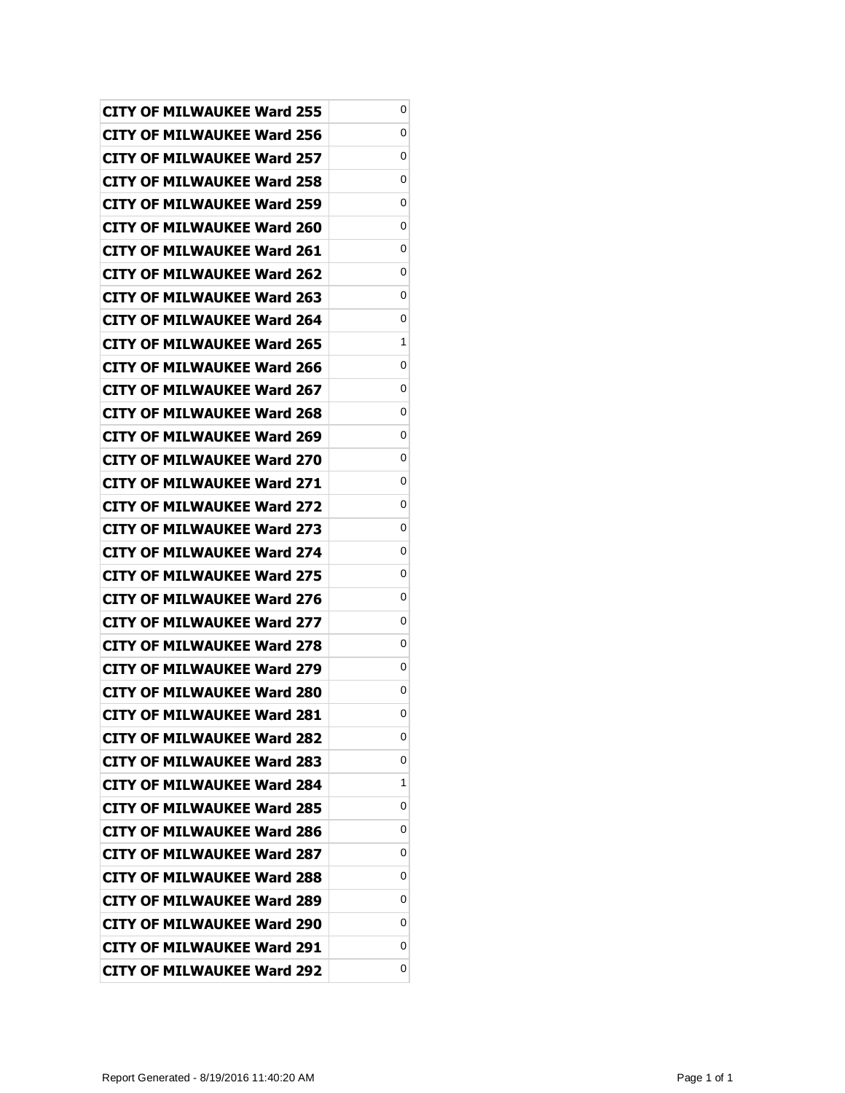| <b>CITY OF MILWAUKEE Ward 255</b> | 0 |
|-----------------------------------|---|
| CITY OF MILWAUKEE Ward 256        | 0 |
| <b>CITY OF MILWAUKEE Ward 257</b> | 0 |
| <b>CITY OF MILWAUKEE Ward 258</b> | 0 |
| <b>CITY OF MILWAUKEE Ward 259</b> | 0 |
| CITY OF MILWAUKEE Ward 260        | 0 |
| CITY OF MILWAUKEE Ward 261        | 0 |
| <b>CITY OF MILWAUKEE Ward 262</b> | 0 |
| <b>CITY OF MILWAUKEE Ward 263</b> | 0 |
| CITY OF MILWAUKEE Ward 264        | 0 |
| <b>CITY OF MILWAUKEE Ward 265</b> | 1 |
| CITY OF MILWAUKEE Ward 266        | 0 |
| <b>CITY OF MILWAUKEE Ward 267</b> | 0 |
| <b>CITY OF MILWAUKEE Ward 268</b> | 0 |
| CITY OF MILWAUKEE Ward 269        | 0 |
| CITY OF MILWAUKEE Ward 270        | 0 |
| CITY OF MILWAUKEE Ward 271        | 0 |
| <b>CITY OF MILWAUKEE Ward 272</b> | 0 |
| <b>CITY OF MILWAUKEE Ward 273</b> | 0 |
| CITY OF MILWAUKEE Ward 274        | 0 |
| <b>CITY OF MILWAUKEE Ward 275</b> | 0 |
| CITY OF MILWAUKEE Ward 276        | 0 |
| CITY OF MILWAUKEE Ward 277        | 0 |
| CITY OF MILWAUKEE Ward 278        | 0 |
| CITY OF MILWAUKEE Ward 279        | 0 |
| <b>CITY OF MILWAUKEE Ward 280</b> | 0 |
| <b>CITY OF MILWAUKEE Ward 281</b> | 0 |
| <b>CITY OF MILWAUKEE Ward 282</b> | 0 |
| <b>CITY OF MILWAUKEE Ward 283</b> | 0 |
| <b>CITY OF MILWAUKEE Ward 284</b> | 1 |
| <b>CITY OF MILWAUKEE Ward 285</b> | 0 |
| <b>CITY OF MILWAUKEE Ward 286</b> | 0 |
| <b>CITY OF MILWAUKEE Ward 287</b> | 0 |
| CITY OF MILWAUKEE Ward 288        | 0 |
| <b>CITY OF MILWAUKEE Ward 289</b> | 0 |
| <b>CITY OF MILWAUKEE Ward 290</b> | 0 |
| <b>CITY OF MILWAUKEE Ward 291</b> | 0 |
| <b>CITY OF MILWAUKEE Ward 292</b> | 0 |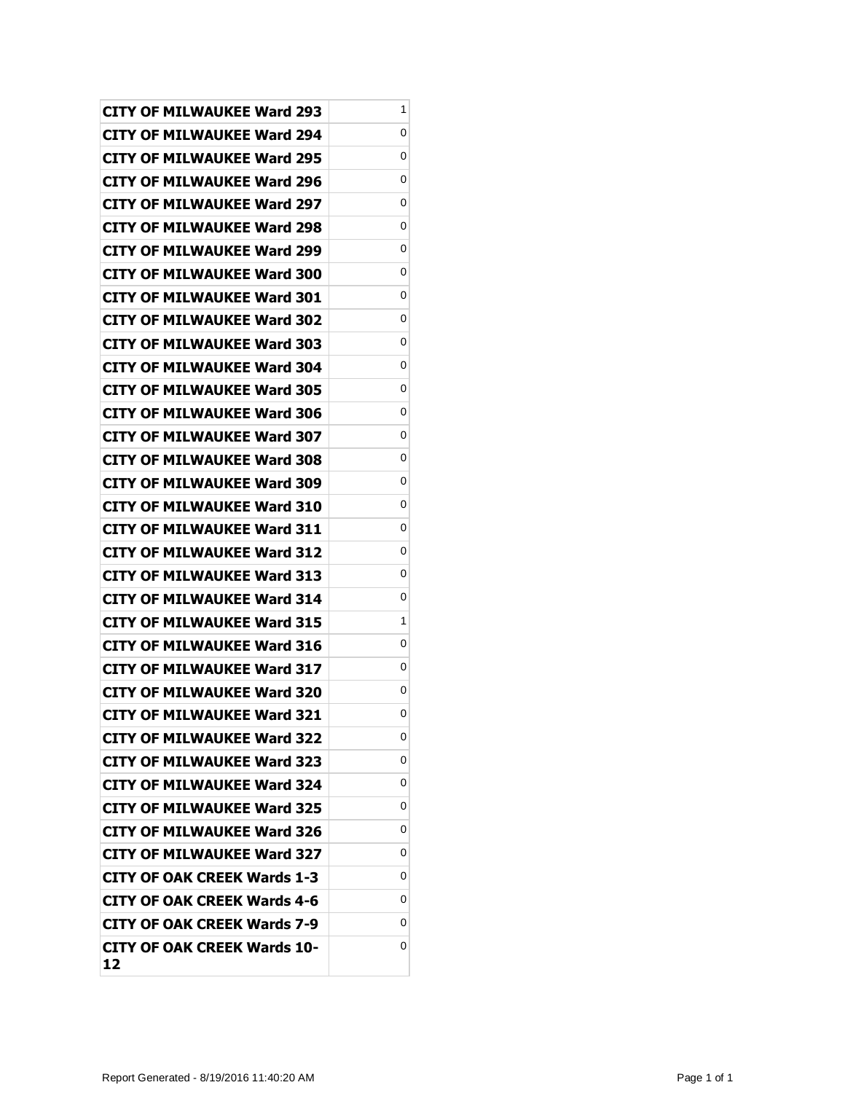| <b>CITY OF MILWAUKEE Ward 293</b>        | 1 |
|------------------------------------------|---|
| CITY OF MILWAUKEE Ward 294               | 0 |
| CITY OF MILWAUKEE Ward 295               | 0 |
| CITY OF MILWAUKEE Ward 296               | 0 |
| CITY OF MILWAUKEE Ward 297               | 0 |
| <b>CITY OF MILWAUKEE Ward 298</b>        | 0 |
| CITY OF MILWAUKEE Ward 299               | 0 |
| <b>CITY OF MILWAUKEE Ward 300</b>        | 0 |
| <b>CITY OF MILWAUKEE Ward 301</b>        | 0 |
| CITY OF MILWAUKEE Ward 302               | 0 |
| CITY OF MILWAUKEE Ward 303               | 0 |
| CITY OF MILWAUKEE Ward 304               | 0 |
| CITY OF MILWAUKEE Ward 305               | 0 |
| <b>CITY OF MILWAUKEE Ward 306</b>        | 0 |
| <b>CITY OF MILWAUKEE Ward 307</b>        | 0 |
| CITY OF MILWAUKEE Ward 308               | 0 |
| CITY OF MILWAUKEE Ward 309               | 0 |
| CITY OF MILWAUKEE Ward 310               | 0 |
| <b>CITY OF MILWAUKEE Ward 311</b>        | 0 |
| <b>CITY OF MILWAUKEE Ward 312</b>        | 0 |
| CITY OF MILWAUKEE Ward 313               | 0 |
| <b>CITY OF MILWAUKEE Ward 314</b>        | 0 |
| <b>CITY OF MILWAUKEE Ward 315</b>        | 1 |
| <b>CITY OF MILWAUKEE Ward 316</b>        | 0 |
| CITY OF MILWAUKEE Ward 317               | 0 |
| <b>CITY OF MILWAUKEE Ward 320</b>        | 0 |
| <b>CITY OF MILWAUKEE Ward 321</b>        | 0 |
| <b>CITY OF MILWAUKEE Ward 322</b>        | 0 |
| <b>CITY OF MILWAUKEE Ward 323</b>        | 0 |
| <b>CITY OF MILWAUKEE Ward 324</b>        | 0 |
| CITY OF MILWAUKEE Ward 325               | 0 |
| <b>CITY OF MILWAUKEE Ward 326</b>        | 0 |
| <b>CITY OF MILWAUKEE Ward 327</b>        | 0 |
| <b>CITY OF OAK CREEK Wards 1-3</b>       | 0 |
| <b>CITY OF OAK CREEK Wards 4-6</b>       | 0 |
| <b>CITY OF OAK CREEK Wards 7-9</b>       | 0 |
| <b>CITY OF OAK CREEK Wards 10-</b><br>12 | 0 |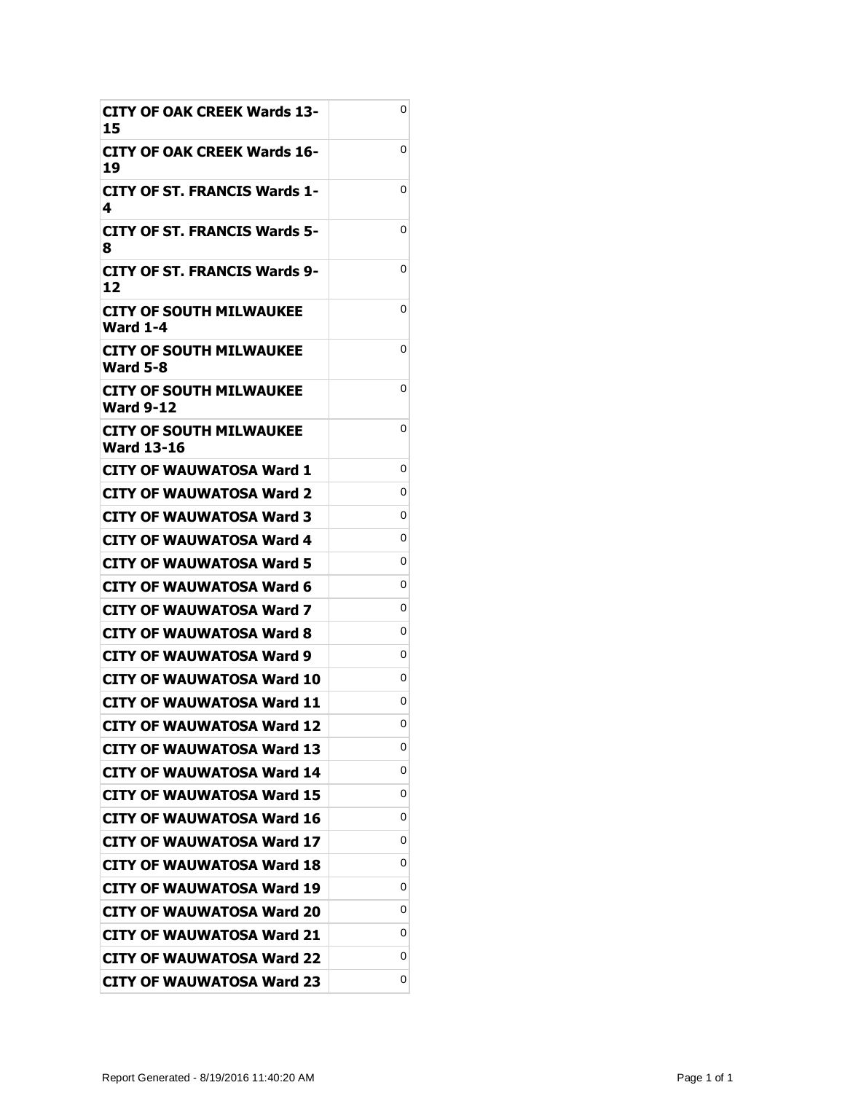| <b>CITY OF OAK CREEK Wards 13-</b><br>15     | 0 |
|----------------------------------------------|---|
| CITY OF OAK CREEK Wards 16-<br>19            | 0 |
| CITY OF ST. FRANCIS Wards 1-<br>4            | 0 |
| <b>CITY OF ST. FRANCIS Wards 5-</b><br>8     | 0 |
| <b>CITY OF ST. FRANCIS Wards 9-</b><br>12    | 0 |
| <b>CITY OF SOUTH MILWAUKEE</b><br>Ward 1-4   | 0 |
| CITY OF SOUTH MILWAUKEE<br><b>Ward 5-8</b>   | 0 |
| CITY OF SOUTH MILWAUKEE<br>Ward 9-12         | 0 |
| CITY OF SOUTH MILWAUKEE<br><b>Ward 13-16</b> | 0 |
| CITY OF WAUWATOSA Ward 1                     | 0 |
| <b>CITY OF WAUWATOSA Ward 2</b>              | 0 |
| CITY OF WAUWATOSA Ward 3                     | 0 |
| CITY OF WAUWATOSA Ward 4                     | 0 |
| CITY OF WAUWATOSA Ward 5                     | 0 |
| CITY OF WAUWATOSA Ward 6                     | 0 |
| CITY OF WAUWATOSA Ward 7                     | 0 |
| CITY OF WAUWATOSA Ward 8                     | 0 |
| CITY OF WAUWATOSA Ward 9                     | 0 |
| CITY OF WAUWATOSA Ward 10                    | 0 |
| <b>CITY OF WAUWATOSA Ward 11</b>             | 0 |
| <b>CITY OF WAUWATOSA Ward 12</b>             | 0 |
| <b>CITY OF WAUWATOSA Ward 13</b>             | 0 |
| <b>CITY OF WAUWATOSA Ward 14</b>             | 0 |
| <b>CITY OF WAUWATOSA Ward 15</b>             | 0 |
| <b>CITY OF WAUWATOSA Ward 16</b>             | 0 |
| <b>CITY OF WAUWATOSA Ward 17</b>             | 0 |
| <b>CITY OF WAUWATOSA Ward 18</b>             | 0 |
| <b>CITY OF WAUWATOSA Ward 19</b>             | 0 |
| <b>CITY OF WAUWATOSA Ward 20</b>             | 0 |
| <b>CITY OF WAUWATOSA Ward 21</b>             | 0 |
| <b>CITY OF WAUWATOSA Ward 22</b>             | 0 |
| <b>CITY OF WAUWATOSA Ward 23</b>             | 0 |